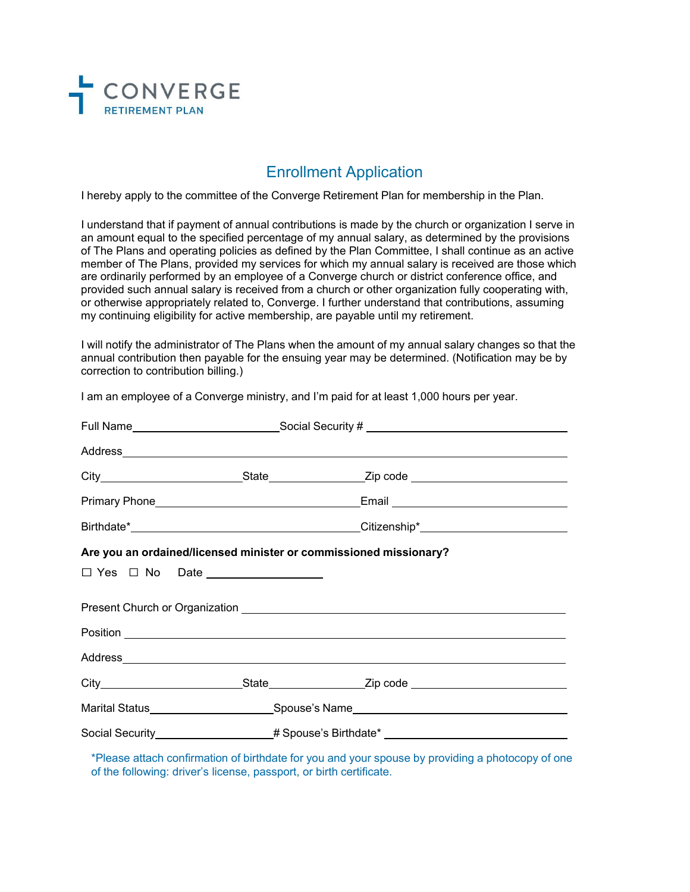

## Enrollment Application

I hereby apply to the committee of the Converge Retirement Plan for membership in the Plan.

I understand that if payment of annual contributions is made by the church or organization I serve in an amount equal to the specified percentage of my annual salary, as determined by the provisions of The Plans and operating policies as defined by the Plan Committee, I shall continue as an active member of The Plans, provided my services for which my annual salary is received are those which are ordinarily performed by an employee of a Converge church or district conference office, and provided such annual salary is received from a church or other organization fully cooperating with, or otherwise appropriately related to, Converge. I further understand that contributions, assuming my continuing eligibility for active membership, are payable until my retirement.

I will notify the administrator of The Plans when the amount of my annual salary changes so that the annual contribution then payable for the ensuing year may be determined. (Notification may be by correction to contribution billing.)

I am an employee of a Converge ministry, and I'm paid for at least 1,000 hours per year.

|                                                                                                                 | Full Name_______________________________Social Security # _______________________                                                                                                                                                    |  |
|-----------------------------------------------------------------------------------------------------------------|--------------------------------------------------------------------------------------------------------------------------------------------------------------------------------------------------------------------------------------|--|
|                                                                                                                 |                                                                                                                                                                                                                                      |  |
|                                                                                                                 |                                                                                                                                                                                                                                      |  |
| Primary Phone 2008 2010 2021 2022 2023 2024 2022 2022 2023 2024 2022 2023 2024 2022 2023 2024 2025 2026 2027 20 | Email 2008 - 2009 - 2010 - 2010 - 2010 - 2011 - 2012 - 2014 - 2012 - 2014 - 2012 - 2014 - 2014 - 2014 - 2014 -                                                                                                                       |  |
|                                                                                                                 |                                                                                                                                                                                                                                      |  |
| Are you an ordained/licensed minister or commissioned missionary?                                               |                                                                                                                                                                                                                                      |  |
|                                                                                                                 |                                                                                                                                                                                                                                      |  |
|                                                                                                                 |                                                                                                                                                                                                                                      |  |
|                                                                                                                 | Position <b>Provided and Contract Contract of the Contract Contract Contract Contract Contract Contract Contract Contract Contract Contract Contract Contract Contract Contract Contract Contract Contract Contract Contract Con</b> |  |
|                                                                                                                 |                                                                                                                                                                                                                                      |  |
|                                                                                                                 |                                                                                                                                                                                                                                      |  |
|                                                                                                                 | Marital Status__________________________Spouse's Name___________________________                                                                                                                                                     |  |
|                                                                                                                 | Social Security___________________# Spouse's Birthdate* ________________________                                                                                                                                                     |  |
|                                                                                                                 | المالي والمتحدث والمتحاول والمتحدث والمتحدث والمتحدث والمتحدث والمتحدث والمتحدث والمتحدث والمتحدث والمستحدث والمستحدث                                                                                                                |  |

\*Please attach confirmation of birthdate for you and your spouse by providing a photocopy of one of the following: driver's license, passport, or birth certificate.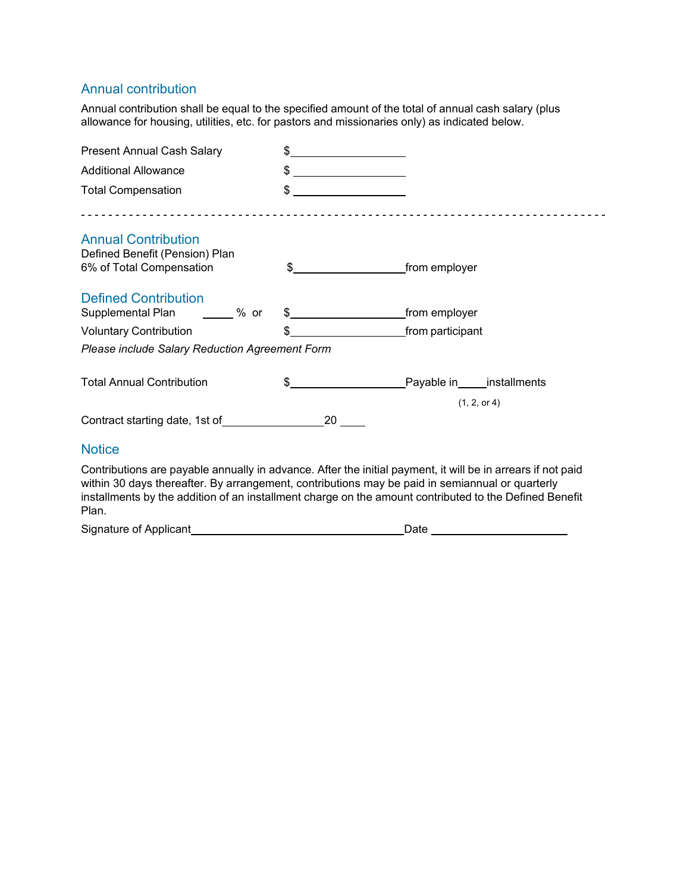### Annual contribution

Annual contribution shall be equal to the specified amount of the total of annual cash salary (plus allowance for housing, utilities, etc. for pastors and missionaries only) as indicated below.

| <b>Present Annual Cash Salary</b>                                                                                                                                                                                                                                                                                                 | $\frac{1}{\sqrt{1-\frac{1}{2}}}\frac{1}{\sqrt{1-\frac{1}{2}}}\frac{1}{\sqrt{1-\frac{1}{2}}}\frac{1}{\sqrt{1-\frac{1}{2}}}\frac{1}{\sqrt{1-\frac{1}{2}}}\frac{1}{\sqrt{1-\frac{1}{2}}}\frac{1}{\sqrt{1-\frac{1}{2}}}\frac{1}{\sqrt{1-\frac{1}{2}}}\frac{1}{\sqrt{1-\frac{1}{2}}}\frac{1}{\sqrt{1-\frac{1}{2}}}\frac{1}{\sqrt{1-\frac{1}{2}}}\frac{1}{\sqrt{1-\frac{1}{2}}}\frac{1}{\sqrt{1-\frac{1}{2}}}\frac{1}{\sqrt{1-\frac{$ |               |
|-----------------------------------------------------------------------------------------------------------------------------------------------------------------------------------------------------------------------------------------------------------------------------------------------------------------------------------|---------------------------------------------------------------------------------------------------------------------------------------------------------------------------------------------------------------------------------------------------------------------------------------------------------------------------------------------------------------------------------------------------------------------------------|---------------|
| <b>Additional Allowance</b>                                                                                                                                                                                                                                                                                                       | $\frac{1}{2}$                                                                                                                                                                                                                                                                                                                                                                                                                   |               |
| <b>Total Compensation</b>                                                                                                                                                                                                                                                                                                         | $\frac{1}{2}$                                                                                                                                                                                                                                                                                                                                                                                                                   |               |
| <b>Annual Contribution</b>                                                                                                                                                                                                                                                                                                        |                                                                                                                                                                                                                                                                                                                                                                                                                                 |               |
| Defined Benefit (Pension) Plan                                                                                                                                                                                                                                                                                                    |                                                                                                                                                                                                                                                                                                                                                                                                                                 |               |
| 6% of Total Compensation                                                                                                                                                                                                                                                                                                          |                                                                                                                                                                                                                                                                                                                                                                                                                                 | from employer |
| <b>Defined Contribution</b>                                                                                                                                                                                                                                                                                                       |                                                                                                                                                                                                                                                                                                                                                                                                                                 |               |
| Supplemental Plan ______ % or                                                                                                                                                                                                                                                                                                     | $\frac{1}{2}$                                                                                                                                                                                                                                                                                                                                                                                                                   | from employer |
| <b>Voluntary Contribution</b>                                                                                                                                                                                                                                                                                                     | \$                                                                                                                                                                                                                                                                                                                                                                                                                              |               |
| Please include Salary Reduction Agreement Form                                                                                                                                                                                                                                                                                    |                                                                                                                                                                                                                                                                                                                                                                                                                                 |               |
| <b>Total Annual Contribution</b>                                                                                                                                                                                                                                                                                                  |                                                                                                                                                                                                                                                                                                                                                                                                                                 |               |
|                                                                                                                                                                                                                                                                                                                                   |                                                                                                                                                                                                                                                                                                                                                                                                                                 | (1, 2, or 4)  |
|                                                                                                                                                                                                                                                                                                                                   |                                                                                                                                                                                                                                                                                                                                                                                                                                 |               |
| <b>Notice</b>                                                                                                                                                                                                                                                                                                                     |                                                                                                                                                                                                                                                                                                                                                                                                                                 |               |
| Contributions are payable annually in advance. After the initial payment, it will be in arrears if not paid<br>within 30 days thereafter. By arrangement, contributions may be paid in semiannual or quarterly<br>installments by the addition of an installment charge on the amount contributed to the Defined Benefit<br>Plan. |                                                                                                                                                                                                                                                                                                                                                                                                                                 |               |

| Signature of Applicant |  |
|------------------------|--|
|                        |  |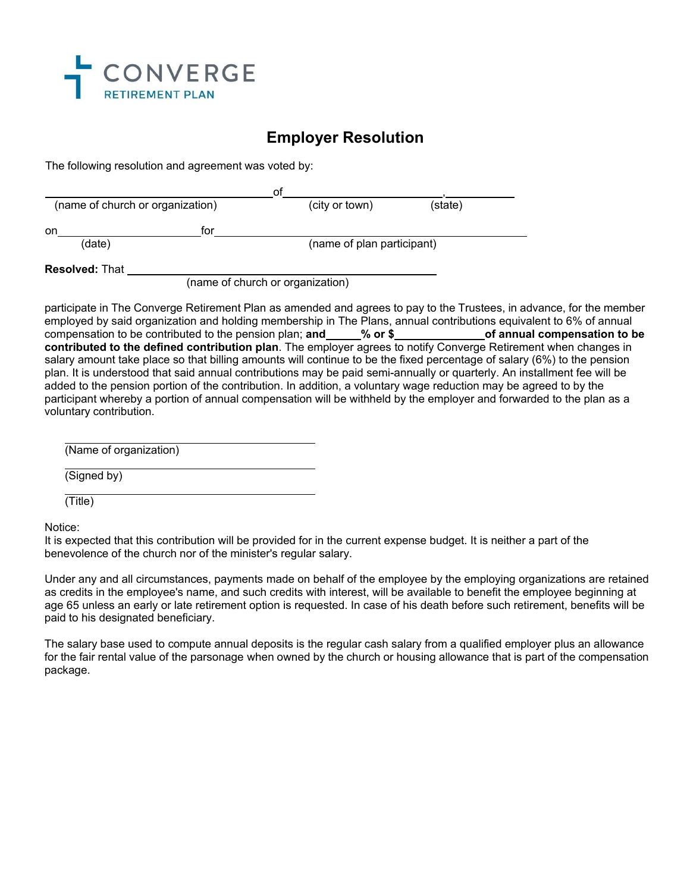

## **Employer Resolution**

The following resolution and agreement was voted by:

|                                  |     | ot                               |         |  |
|----------------------------------|-----|----------------------------------|---------|--|
| (name of church or organization) |     | (city or town)                   | (state) |  |
| on                               | tor |                                  |         |  |
| (date)                           |     | (name of plan participant)       |         |  |
| <b>Resolved: That</b>            |     |                                  |         |  |
|                                  |     | (name of church or organization) |         |  |

participate in The Converge Retirement Plan as amended and agrees to pay to the Trustees, in advance, for the member employed by said organization and holding membership in The Plans, annual contributions equivalent to 6% of annual<br>compensation to be contributed to the pension plan; and \_\_\_\_\_% or \$ of annual compensation to be compensation to be contributed to the pension plan; **and with 8 \compensation** to be contributed to the pension plan; **and contributed to the defined contribution plan**. The employer agrees to notify Converge Retirement when changes in salary amount take place so that billing amounts will continue to be the fixed percentage of salary (6%) to the pension plan. It is understood that said annual contributions may be paid semi-annually or quarterly. An installment fee will be added to the pension portion of the contribution. In addition, a voluntary wage reduction may be agreed to by the participant whereby a portion of annual compensation will be withheld by the employer and forwarded to the plan as a voluntary contribution.

(Name of organization)

(Signed by)

(Title)

Notice:

It is expected that this contribution will be provided for in the current expense budget. It is neither a part of the benevolence of the church nor of the minister's regular salary.

Under any and all circumstances, payments made on behalf of the employee by the employing organizations are retained as credits in the employee's name, and such credits with interest, will be available to benefit the employee beginning at age 65 unless an early or late retirement option is requested. In case of his death before such retirement, benefits will be paid to his designated beneficiary.

The salary base used to compute annual deposits is the regular cash salary from a qualified employer plus an allowance for the fair rental value of the parsonage when owned by the church or housing allowance that is part of the compensation package.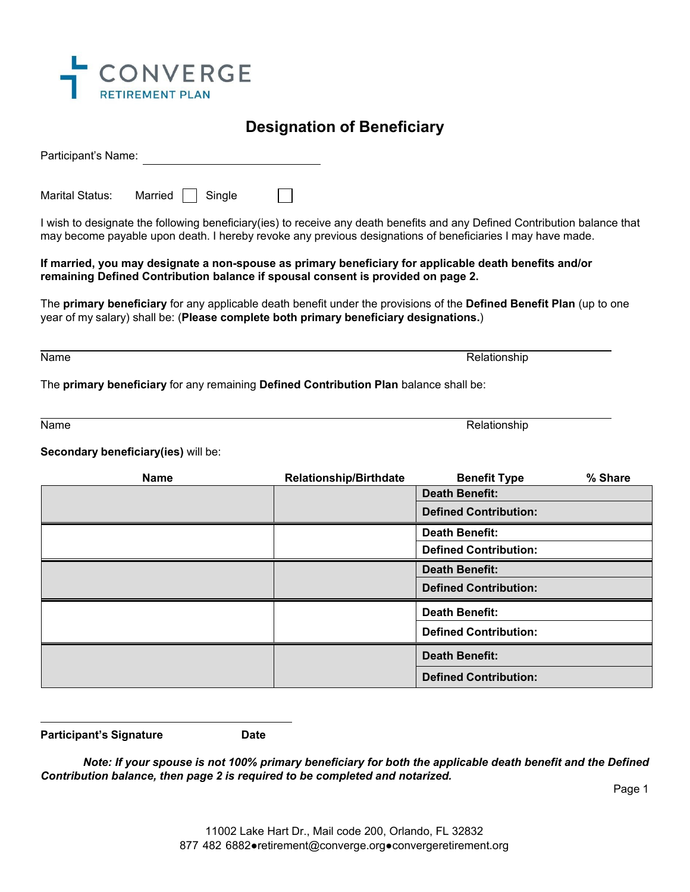

## **Designation of Beneficiary**

Participant's Name:

|  | Marital Status: | Married $\Box$ Single |  |  |
|--|-----------------|-----------------------|--|--|
|--|-----------------|-----------------------|--|--|

I wish to designate the following beneficiary(ies) to receive any death benefits and any Defined Contribution balance that may become payable upon death. I hereby revoke any previous designations of beneficiaries I may have made.

### **If married, you may designate a non-spouse as primary beneficiary for applicable death benefits and/or remaining Defined Contribution balance if spousal consent is provided on page 2.**

The **primary beneficiary** for any applicable death benefit under the provisions of the **Defined Benefit Plan** (up to one year of my salary) shall be: (**Please complete both primary beneficiary designations.**)

Name **Relationship** Relationship

The **primary beneficiary** for any remaining **Defined Contribution Plan** balance shall be:

Name Relationship in the control of the control of the control of the control of the control of the control of the control of the control of the control of the control of the control of the control of the control of the co

**Secondary beneficiary(ies)** will be:

| <b>Name</b> | <b>Relationship/Birthdate</b> | <b>Benefit Type</b>          | % Share |
|-------------|-------------------------------|------------------------------|---------|
|             |                               | <b>Death Benefit:</b>        |         |
|             |                               | <b>Defined Contribution:</b> |         |
|             |                               | <b>Death Benefit:</b>        |         |
|             |                               | <b>Defined Contribution:</b> |         |
|             |                               | <b>Death Benefit:</b>        |         |
|             |                               | <b>Defined Contribution:</b> |         |
|             |                               | <b>Death Benefit:</b>        |         |
|             |                               | <b>Defined Contribution:</b> |         |
|             |                               | <b>Death Benefit:</b>        |         |
|             |                               | <b>Defined Contribution:</b> |         |

**Participant's Signature Date** 

*Note: If your spouse is not 100% primary beneficiary for both the applicable death benefit and the Defined Contribution balance, then page 2 is required to be completed and notarized.* 

Page 1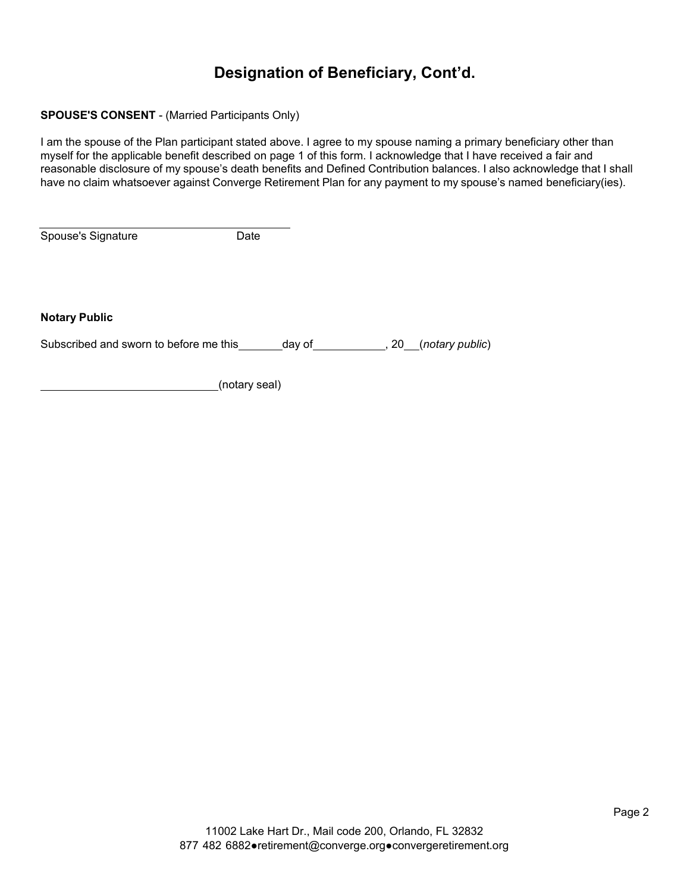# **Designation of Beneficiary, Cont'd.**

### **SPOUSE'S CONSENT** - (Married Participants Only)

I am the spouse of the Plan participant stated above. I agree to my spouse naming a primary beneficiary other than myself for the applicable benefit described on page 1 of this form. I acknowledge that I have received a fair and reasonable disclosure of my spouse's death benefits and Defined Contribution balances. I also acknowledge that I shall have no claim whatsoever against Converge Retirement Plan for any payment to my spouse's named beneficiary(ies).

Spouse's Signature **Date** 

**Notary Public**

Subscribed and sworn to before me this day of the state of the state of the subscribed and sworn to before me this

(notary seal)